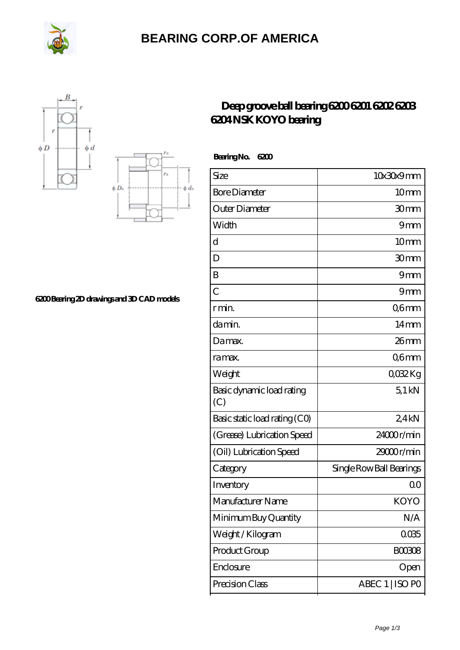

## **[BEARING CORP.OF AMERICA](https://www.freshmxnfood.com)**





**[6200 Bearing 2D drawings and 3D CAD models](https://www.freshmxnfood.com/pic-65271657.html)**

## **[Deep groove ball bearing 6200 6201 6202 6203](https://www.freshmxnfood.com/koyo-6200-bearing/) [6204 NSK KOYO bearing](https://www.freshmxnfood.com/koyo-6200-bearing/)**

 **Bearing No. 6200**

| Size                             | 10x30x9mm                |
|----------------------------------|--------------------------|
| <b>Bore Diameter</b>             | 10 <sub>mm</sub>         |
| Outer Diameter                   | 30mm                     |
| Width                            | 9 <sub>mm</sub>          |
| d                                | 10 <sub>mm</sub>         |
| D                                | 30mm                     |
| B                                | 9mm                      |
| $\overline{C}$                   | 9 <sub>mm</sub>          |
| r min.                           | Q6mm                     |
| da min.                          | $14 \text{mm}$           |
| Damax.                           | $26$ mm                  |
| ra max.                          | Q6mm                     |
| Weight                           | 0032Kg                   |
| Basic dynamic load rating<br>(C) | $5.1$ kN                 |
| Basic static load rating (CO)    | 24kN                     |
| (Grease) Lubrication Speed       | 24000r/min               |
| (Oil) Lubrication Speed          | 29000r/min               |
| Category                         | Single Row Ball Bearings |
| Inventory                        | 0 <sup>0</sup>           |
| Manufacturer Name                | KOYO                     |
| Minimum Buy Quantity             | N/A                      |
| Weight / Kilogram                | 0035                     |
| Product Group                    | <b>BOO3O8</b>            |
| Enclosure                        | Open                     |
| Precision Class                  | ABEC 1   ISO PO          |
|                                  |                          |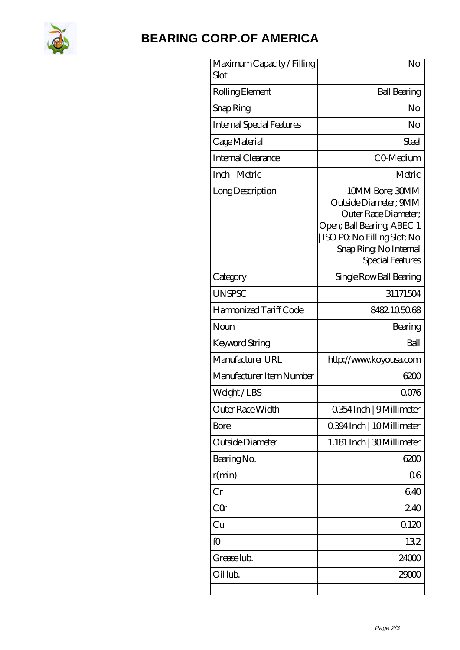

## **[BEARING CORP.OF AMERICA](https://www.freshmxnfood.com)**

| Maximum Capacity / Filling<br>Slot | No                                                                                                                                                                         |
|------------------------------------|----------------------------------------------------------------------------------------------------------------------------------------------------------------------------|
| Rolling Element                    | <b>Ball Bearing</b>                                                                                                                                                        |
| Snap Ring                          | No                                                                                                                                                                         |
| <b>Internal Special Features</b>   | No                                                                                                                                                                         |
| Cage Material                      | Steel                                                                                                                                                                      |
| <b>Internal Clearance</b>          | CO-Medium                                                                                                                                                                  |
| Inch - Metric                      | Metric                                                                                                                                                                     |
| Long Description                   | 10MM Bore; 30MM<br>Outside Diameter; 9MM<br>Outer Race Diameter:<br>Open; Ball Bearing; ABEC 1<br>ISO PQ No Filling Slot; No<br>Snap Ring, No Internal<br>Special Features |
| Category                           | Single Row Ball Bearing                                                                                                                                                    |
| <b>UNSPSC</b>                      | 31171504                                                                                                                                                                   |
| Harmonized Tariff Code             | 8482105068                                                                                                                                                                 |
| Noun                               | Bearing                                                                                                                                                                    |
| Keyword String                     | Ball                                                                                                                                                                       |
| Manufacturer URL                   | http://www.koyousa.com                                                                                                                                                     |
| Manufacturer Item Number           | 6200                                                                                                                                                                       |
| Weight/LBS                         | 0076                                                                                                                                                                       |
| Outer Race Width                   | 0.354 Inch   9 Millimeter                                                                                                                                                  |
| <b>Bore</b>                        | 0.394 Inch   10 Millimeter                                                                                                                                                 |
| Outside Diameter                   | 1.181 Inch   30 Millimeter                                                                                                                                                 |
| Bearing No.                        | 6200                                                                                                                                                                       |
| r(min)                             | 06                                                                                                                                                                         |
| Cr                                 | 640                                                                                                                                                                        |
| CQ                                 | 240                                                                                                                                                                        |
| Cu                                 | 0120                                                                                                                                                                       |
| fO                                 | 132                                                                                                                                                                        |
| Grease lub.                        | 24000                                                                                                                                                                      |
| Oil lub.                           | 29000                                                                                                                                                                      |
|                                    |                                                                                                                                                                            |